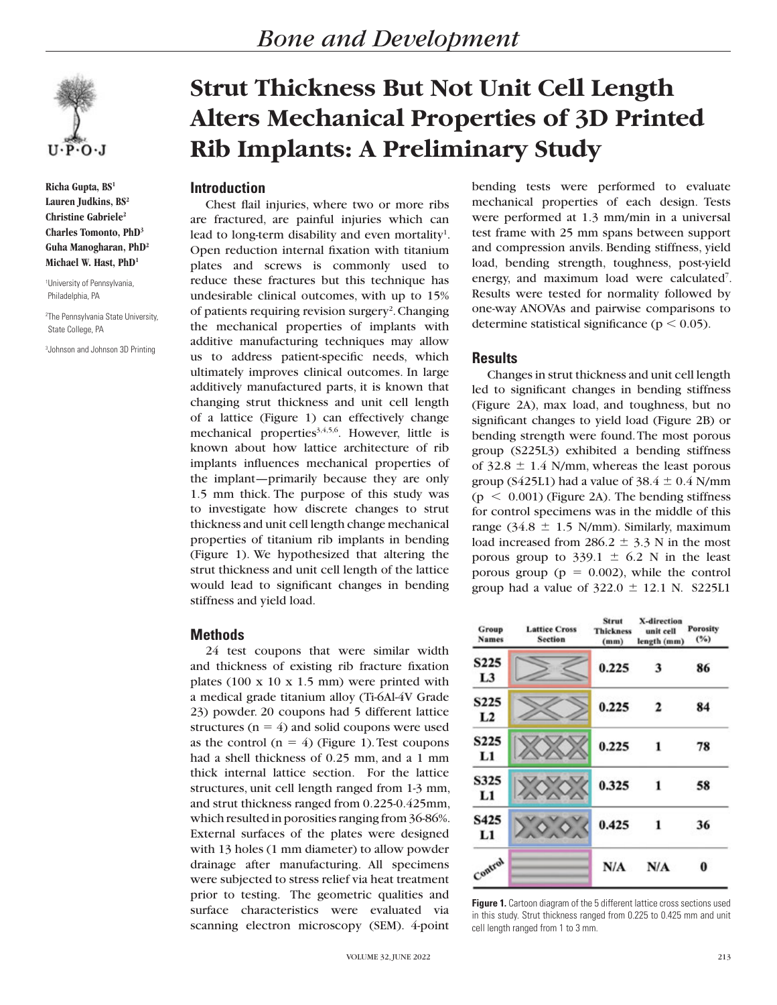

**Richa Gupta, BS1 Lauren Judkins, BS2 Christine Gabriele2 Charles Tomonto, PhD3 Guha Manogharan, PhD2 Michael W. Hast, PhD1**

1 University of Pennsylvania, Philadelphia, PA

2 The Pennsylvania State University, State College, PA

3 Johnson and Johnson 3D Printing

# **Strut Thickness But Not Unit Cell Length Alters Mechanical Properties of 3D Printed Rib Implants: A Preliminary Study**

## **Introduction**

Chest flail injuries, where two or more ribs are fractured, are painful injuries which can lead to long-term disability and even mortality<sup>1</sup>. Open reduction internal fixation with titanium plates and screws is commonly used to reduce these fractures but this technique has undesirable clinical outcomes, with up to 15% of patients requiring revision surgery<sup>2</sup>. Changing the mechanical properties of implants with additive manufacturing techniques may allow us to address patient-specific needs, which ultimately improves clinical outcomes. In large additively manufactured parts, it is known that changing strut thickness and unit cell length of a lattice (Figure 1) can effectively change mechanical properties<sup>3,4,5,6</sup>. However, little is known about how lattice architecture of rib implants influences mechanical properties of the implant—primarily because they are only 1.5 mm thick. The purpose of this study was to investigate how discrete changes to strut thickness and unit cell length change mechanical properties of titanium rib implants in bending (Figure 1). We hypothesized that altering the strut thickness and unit cell length of the lattice would lead to significant changes in bending stiffness and yield load.

# **Methods**

24 test coupons that were similar width and thickness of existing rib fracture fixation plates (100 x 10 x 1.5 mm) were printed with a medical grade titanium alloy (Ti-6Al-4V Grade 23) powder. 20 coupons had 5 different lattice structures ( $n = 4$ ) and solid coupons were used as the control  $(n = 4)$  (Figure 1). Test coupons had a shell thickness of 0.25 mm, and a 1 mm thick internal lattice section. For the lattice structures, unit cell length ranged from 1-3 mm, and strut thickness ranged from 0.225-0.425mm, which resulted in porosities ranging from 36-86%. External surfaces of the plates were designed with 13 holes (1 mm diameter) to allow powder drainage after manufacturing. All specimens were subjected to stress relief via heat treatment prior to testing. The geometric qualities and surface characteristics were evaluated via scanning electron microscopy (SEM). 4-point

bending tests were performed to evaluate mechanical properties of each design. Tests were performed at 1.3 mm/min in a universal test frame with 25 mm spans between support and compression anvils. Bending stiffness, yield load, bending strength, toughness, post-yield energy, and maximum load were calculated<sup>7</sup>. Results were tested for normality followed by one-way ANOVAs and pairwise comparisons to determine statistical significance ( $p < 0.05$ ).

#### **Results**

Changes in strut thickness and unit cell length led to significant changes in bending stiffness (Figure 2A), max load, and toughness, but no significant changes to yield load (Figure 2B) or bending strength were found. The most porous group (S225L3) exhibited a bending stiffness of  $32.8 \pm 1.4$  N/mm, whereas the least porous group (S425L1) had a value of  $38.4 \pm 0.4$  N/mm  $(p < 0.001)$  (Figure 2A). The bending stiffness for control specimens was in the middle of this range (34.8  $\pm$  1.5 N/mm). Similarly, maximum load increased from 286.2  $\pm$  3.3 N in the most porous group to  $339.1 \pm 6.2$  N in the least porous group ( $p = 0.002$ ), while the control group had a value of  $322.0 \pm 12.1$  N. S225L1

| Group<br><b>Names</b>   | <b>Lattice Cross</b><br><b>Section</b> | Strut<br><b>Thickness</b><br>(mm) | X-direction<br>unit cell<br>length (mm) | <b>Porosity</b><br>(%) |
|-------------------------|----------------------------------------|-----------------------------------|-----------------------------------------|------------------------|
| S225<br>L3              |                                        | 0.225                             | 3                                       | 86                     |
| <b>S225</b><br>L2       |                                        | 0.225                             | 2                                       | 84                     |
| S <sub>2</sub> 25<br>L1 |                                        | 0.225                             | 1                                       | 78                     |
| <b>S325</b><br>L1       |                                        | 0.325                             | 1                                       | 58                     |
| S425<br>L1              |                                        | 0.425                             | 1                                       | 36                     |
| Control                 |                                        | N/A                               | N/A                                     | 0                      |

**Figure 1.** Cartoon diagram of the 5 different lattice cross sections used in this study. Strut thickness ranged from 0.225 to 0.425 mm and unit cell length ranged from 1 to 3 mm.